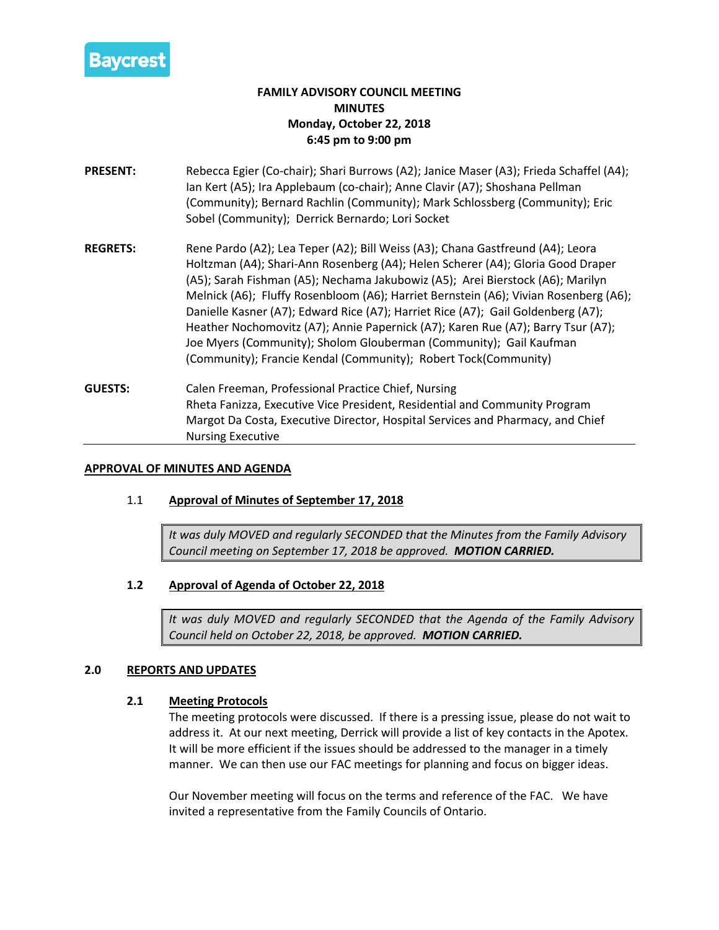

# **FAMILY ADVISORY COUNCIL MEETING MINUTES Monday, October 22, 2018 6:45 pm to 9:00 pm**

- **PRESENT:** Rebecca Egier (Co-chair); Shari Burrows (A2); Janice Maser (A3); Frieda Schaffel (A4); Ian Kert (A5); Ira Applebaum (co-chair); Anne Clavir (A7); Shoshana Pellman (Community); Bernard Rachlin (Community); Mark Schlossberg (Community); Eric Sobel (Community); Derrick Bernardo; Lori Socket
- **REGRETS:** Rene Pardo (A2); Lea Teper (A2); Bill Weiss (A3); Chana Gastfreund (A4); Leora Holtzman (A4); Shari-Ann Rosenberg (A4); Helen Scherer (A4); Gloria Good Draper (A5); Sarah Fishman (A5); Nechama Jakubowiz (A5); Arei Bierstock (A6); Marilyn Melnick (A6); Fluffy Rosenbloom (A6); Harriet Bernstein (A6); Vivian Rosenberg (A6); Danielle Kasner (A7); Edward Rice (A7); Harriet Rice (A7); Gail Goldenberg (A7); Heather Nochomovitz (A7); Annie Papernick (A7); Karen Rue (A7); Barry Tsur (A7); Joe Myers (Community); Sholom Glouberman (Community); Gail Kaufman (Community); Francie Kendal (Community); Robert Tock(Community)
- **GUESTS:** Calen Freeman, Professional Practice Chief, Nursing Rheta Fanizza, Executive Vice President, Residential and Community Program Margot Da Costa, Executive Director, Hospital Services and Pharmacy, and Chief Nursing Executive

### **APPROVAL OF MINUTES AND AGENDA**

## 1.1 **Approval of Minutes of September 17, 2018**

*It was duly MOVED and regularly SECONDED that the Minutes from the Family Advisory Council meeting on September 17, 2018 be approved. MOTION CARRIED.*

## **1.2 Approval of Agenda of October 22, 2018**

*It was duly MOVED and regularly SECONDED that the Agenda of the Family Advisory Council held on October 22, 2018, be approved. MOTION CARRIED.*

#### **2.0 REPORTS AND UPDATES**

#### **2.1 Meeting Protocols**

The meeting protocols were discussed. If there is a pressing issue, please do not wait to address it. At our next meeting, Derrick will provide a list of key contacts in the Apotex. It will be more efficient if the issues should be addressed to the manager in a timely manner. We can then use our FAC meetings for planning and focus on bigger ideas.

Our November meeting will focus on the terms and reference of the FAC. We have invited a representative from the Family Councils of Ontario.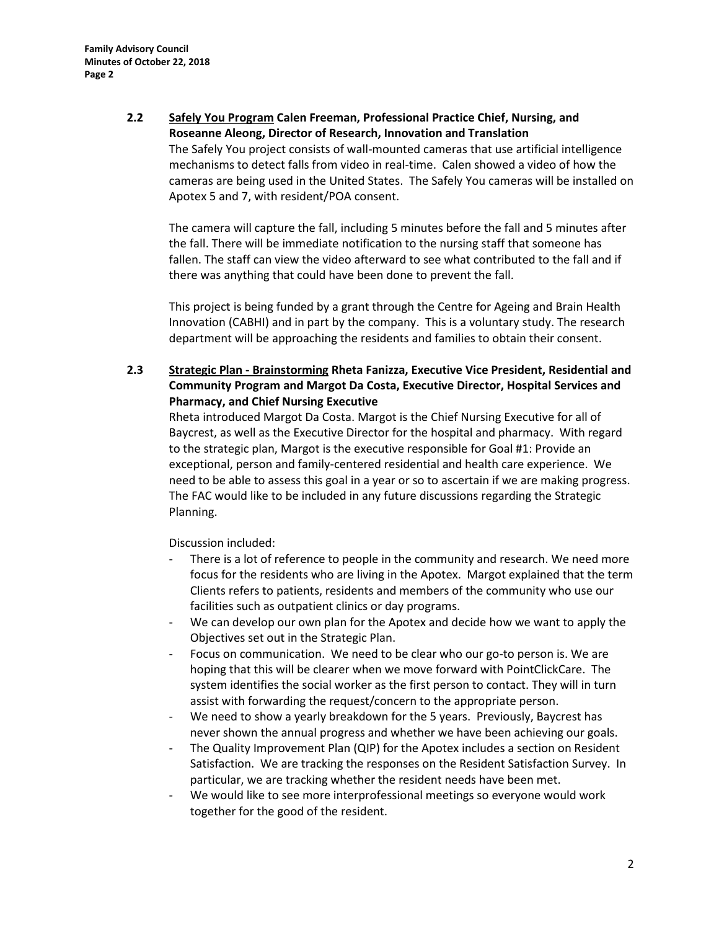**2.2 Safely You Program Calen Freeman, Professional Practice Chief, Nursing, and Roseanne Aleong, Director of Research, Innovation and Translation** The Safely You project consists of wall-mounted cameras that use artificial intelligence mechanisms to detect falls from video in real-time. Calen showed a video of how the cameras are being used in the United States. The Safely You cameras will be installed on Apotex 5 and 7, with resident/POA consent.

The camera will capture the fall, including 5 minutes before the fall and 5 minutes after the fall. There will be immediate notification to the nursing staff that someone has fallen. The staff can view the video afterward to see what contributed to the fall and if there was anything that could have been done to prevent the fall.

This project is being funded by a grant through the Centre for Ageing and Brain Health Innovation (CABHI) and in part by the company. This is a voluntary study. The research department will be approaching the residents and families to obtain their consent.

**2.3 Strategic Plan - Brainstorming Rheta Fanizza, Executive Vice President, Residential and Community Program and Margot Da Costa, Executive Director, Hospital Services and Pharmacy, and Chief Nursing Executive**

Rheta introduced Margot Da Costa. Margot is the Chief Nursing Executive for all of Baycrest, as well as the Executive Director for the hospital and pharmacy. With regard to the strategic plan, Margot is the executive responsible for Goal #1: Provide an exceptional, person and family-centered residential and health care experience. We need to be able to assess this goal in a year or so to ascertain if we are making progress. The FAC would like to be included in any future discussions regarding the Strategic Planning.

Discussion included:

- There is a lot of reference to people in the community and research. We need more focus for the residents who are living in the Apotex. Margot explained that the term Clients refers to patients, residents and members of the community who use our facilities such as outpatient clinics or day programs.
- We can develop our own plan for the Apotex and decide how we want to apply the Objectives set out in the Strategic Plan.
- Focus on communication. We need to be clear who our go-to person is. We are hoping that this will be clearer when we move forward with PointClickCare. The system identifies the social worker as the first person to contact. They will in turn assist with forwarding the request/concern to the appropriate person.
- We need to show a yearly breakdown for the 5 years. Previously, Baycrest has never shown the annual progress and whether we have been achieving our goals.
- The Quality Improvement Plan (QIP) for the Apotex includes a section on Resident Satisfaction. We are tracking the responses on the Resident Satisfaction Survey. In particular, we are tracking whether the resident needs have been met.
- We would like to see more interprofessional meetings so everyone would work together for the good of the resident.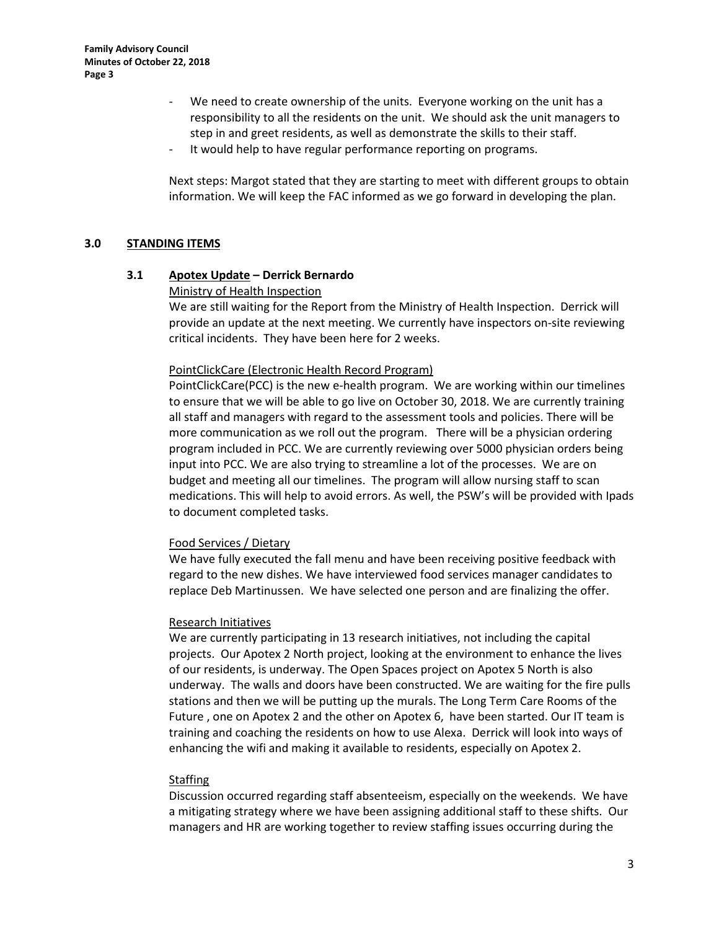- We need to create ownership of the units. Everyone working on the unit has a responsibility to all the residents on the unit. We should ask the unit managers to step in and greet residents, as well as demonstrate the skills to their staff.
- It would help to have regular performance reporting on programs.

Next steps: Margot stated that they are starting to meet with different groups to obtain information. We will keep the FAC informed as we go forward in developing the plan.

#### **3.0 STANDING ITEMS**

#### **3.1 Apotex Update – Derrick Bernardo**

#### Ministry of Health Inspection

We are still waiting for the Report from the Ministry of Health Inspection. Derrick will provide an update at the next meeting. We currently have inspectors on-site reviewing critical incidents. They have been here for 2 weeks.

#### PointClickCare (Electronic Health Record Program)

PointClickCare(PCC) is the new e-health program. We are working within our timelines to ensure that we will be able to go live on October 30, 2018. We are currently training all staff and managers with regard to the assessment tools and policies. There will be more communication as we roll out the program. There will be a physician ordering program included in PCC. We are currently reviewing over 5000 physician orders being input into PCC. We are also trying to streamline a lot of the processes. We are on budget and meeting all our timelines. The program will allow nursing staff to scan medications. This will help to avoid errors. As well, the PSW's will be provided with Ipads to document completed tasks.

#### Food Services / Dietary

We have fully executed the fall menu and have been receiving positive feedback with regard to the new dishes. We have interviewed food services manager candidates to replace Deb Martinussen. We have selected one person and are finalizing the offer.

#### Research Initiatives

We are currently participating in 13 research initiatives, not including the capital projects. Our Apotex 2 North project, looking at the environment to enhance the lives of our residents, is underway. The Open Spaces project on Apotex 5 North is also underway. The walls and doors have been constructed. We are waiting for the fire pulls stations and then we will be putting up the murals. The Long Term Care Rooms of the Future , one on Apotex 2 and the other on Apotex 6, have been started. Our IT team is training and coaching the residents on how to use Alexa. Derrick will look into ways of enhancing the wifi and making it available to residents, especially on Apotex 2.

## **Staffing**

Discussion occurred regarding staff absenteeism, especially on the weekends. We have a mitigating strategy where we have been assigning additional staff to these shifts. Our managers and HR are working together to review staffing issues occurring during the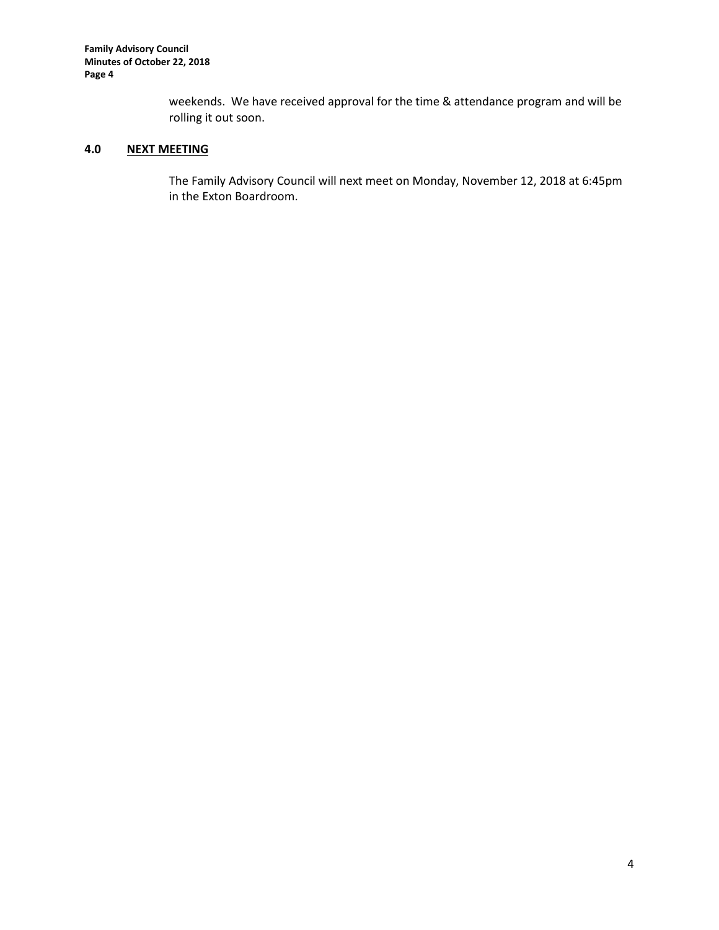**Family Advisory Council Minutes of October 22, 2018 Page 4**

> weekends. We have received approval for the time & attendance program and will be rolling it out soon.

# **4.0 NEXT MEETING**

The Family Advisory Council will next meet on Monday, November 12, 2018 at 6:45pm in the Exton Boardroom.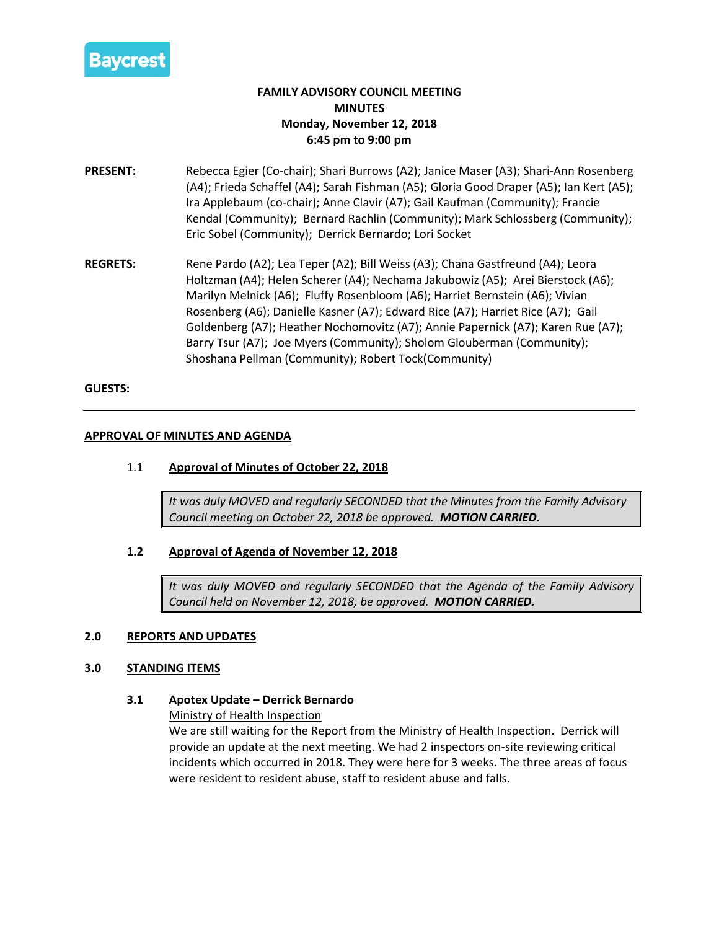

# **FAMILY ADVISORY COUNCIL MEETING MINUTES Monday, November 12, 2018 6:45 pm to 9:00 pm**

- **PRESENT:** Rebecca Egier (Co-chair); Shari Burrows (A2); Janice Maser (A3); Shari-Ann Rosenberg (A4); Frieda Schaffel (A4); Sarah Fishman (A5); Gloria Good Draper (A5); Ian Kert (A5); Ira Applebaum (co-chair); Anne Clavir (A7); Gail Kaufman (Community); Francie Kendal (Community); Bernard Rachlin (Community); Mark Schlossberg (Community); Eric Sobel (Community); Derrick Bernardo; Lori Socket
- **REGRETS:** Rene Pardo (A2); Lea Teper (A2); Bill Weiss (A3); Chana Gastfreund (A4); Leora Holtzman (A4); Helen Scherer (A4); Nechama Jakubowiz (A5); Arei Bierstock (A6); Marilyn Melnick (A6); Fluffy Rosenbloom (A6); Harriet Bernstein (A6); Vivian Rosenberg (A6); Danielle Kasner (A7); Edward Rice (A7); Harriet Rice (A7); Gail Goldenberg (A7); Heather Nochomovitz (A7); Annie Papernick (A7); Karen Rue (A7); Barry Tsur (A7); Joe Myers (Community); Sholom Glouberman (Community); Shoshana Pellman (Community); Robert Tock(Community)

#### **GUESTS:**

#### **APPROVAL OF MINUTES AND AGENDA**

### 1.1 **Approval of Minutes of October 22, 2018**

*It was duly MOVED and regularly SECONDED that the Minutes from the Family Advisory Council meeting on October 22, 2018 be approved. MOTION CARRIED.*

## **1.2 Approval of Agenda of November 12, 2018**

*It was duly MOVED and regularly SECONDED that the Agenda of the Family Advisory Council held on November 12, 2018, be approved. MOTION CARRIED.*

#### **2.0 REPORTS AND UPDATES**

#### **3.0 STANDING ITEMS**

#### **3.1 Apotex Update – Derrick Bernardo**

Ministry of Health Inspection

We are still waiting for the Report from the Ministry of Health Inspection. Derrick will provide an update at the next meeting. We had 2 inspectors on-site reviewing critical incidents which occurred in 2018. They were here for 3 weeks. The three areas of focus were resident to resident abuse, staff to resident abuse and falls.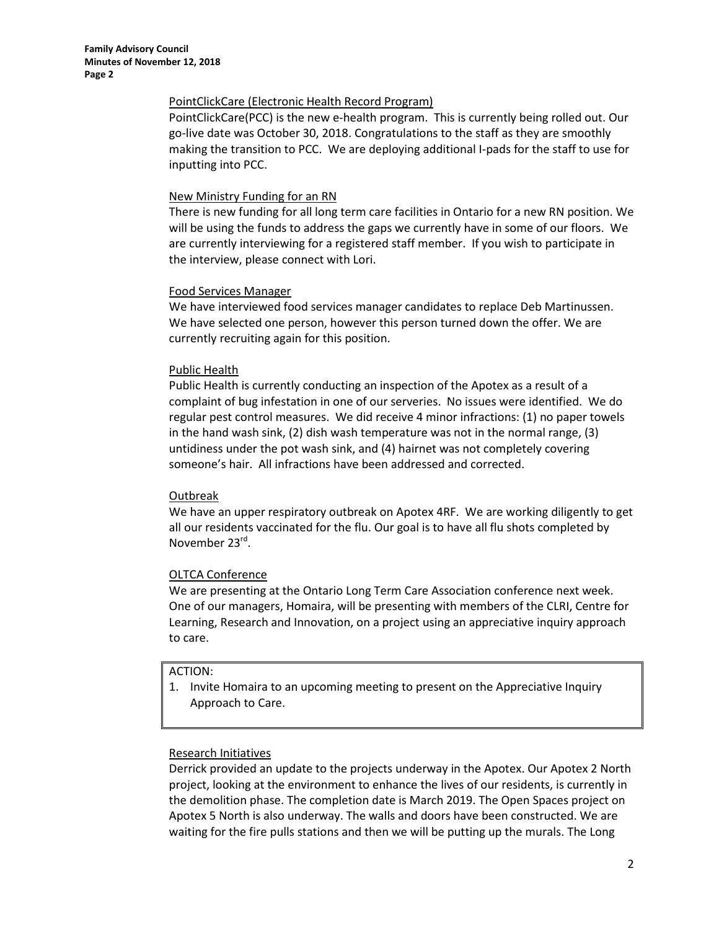#### PointClickCare (Electronic Health Record Program)

PointClickCare(PCC) is the new e-health program. This is currently being rolled out. Our go-live date was October 30, 2018. Congratulations to the staff as they are smoothly making the transition to PCC. We are deploying additional I-pads for the staff to use for inputting into PCC.

#### New Ministry Funding for an RN

There is new funding for all long term care facilities in Ontario for a new RN position. We will be using the funds to address the gaps we currently have in some of our floors. We are currently interviewing for a registered staff member. If you wish to participate in the interview, please connect with Lori.

## Food Services Manager

We have interviewed food services manager candidates to replace Deb Martinussen. We have selected one person, however this person turned down the offer. We are currently recruiting again for this position.

#### Public Health

Public Health is currently conducting an inspection of the Apotex as a result of a complaint of bug infestation in one of our serveries. No issues were identified. We do regular pest control measures. We did receive 4 minor infractions: (1) no paper towels in the hand wash sink, (2) dish wash temperature was not in the normal range, (3) untidiness under the pot wash sink, and (4) hairnet was not completely covering someone's hair. All infractions have been addressed and corrected.

## Outbreak

We have an upper respiratory outbreak on Apotex 4RF. We are working diligently to get all our residents vaccinated for the flu. Our goal is to have all flu shots completed by November 23rd.

## OLTCA Conference

We are presenting at the Ontario Long Term Care Association conference next week. One of our managers, Homaira, will be presenting with members of the CLRI, Centre for Learning, Research and Innovation, on a project using an appreciative inquiry approach to care.

## ACTION:

1. Invite Homaira to an upcoming meeting to present on the Appreciative Inquiry Approach to Care.

## Research Initiatives

Derrick provided an update to the projects underway in the Apotex. Our Apotex 2 North project, looking at the environment to enhance the lives of our residents, is currently in the demolition phase. The completion date is March 2019. The Open Spaces project on Apotex 5 North is also underway. The walls and doors have been constructed. We are waiting for the fire pulls stations and then we will be putting up the murals. The Long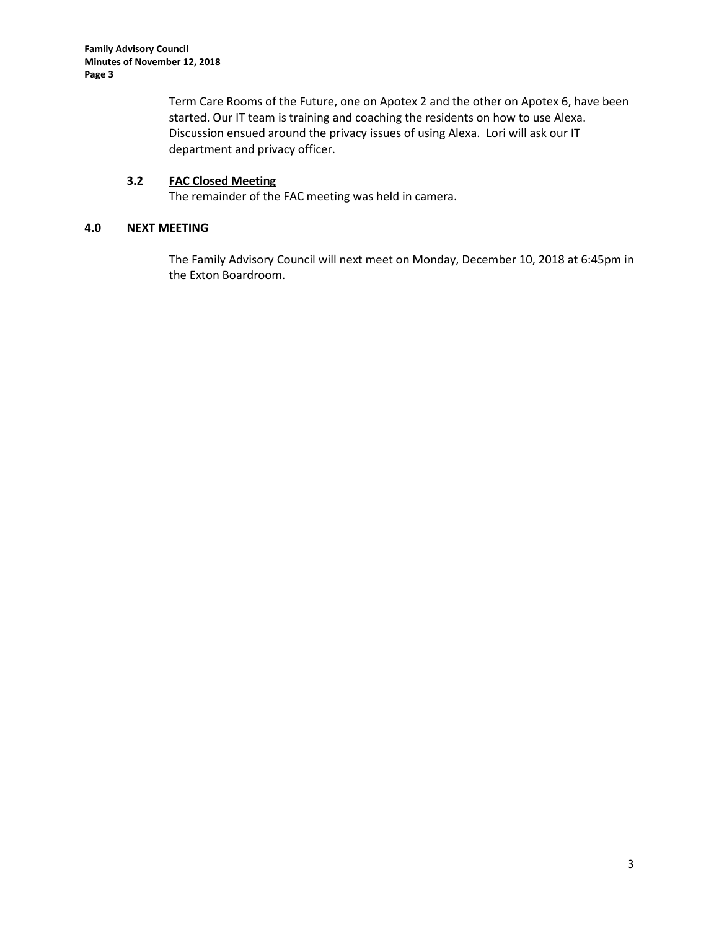**Family Advisory Council Minutes of November 12, 2018 Page 3**

> Term Care Rooms of the Future, one on Apotex 2 and the other on Apotex 6, have been started. Our IT team is training and coaching the residents on how to use Alexa. Discussion ensued around the privacy issues of using Alexa. Lori will ask our IT department and privacy officer.

## **3.2 FAC Closed Meeting**

The remainder of the FAC meeting was held in camera.

# **4.0 NEXT MEETING**

The Family Advisory Council will next meet on Monday, December 10, 2018 at 6:45pm in the Exton Boardroom.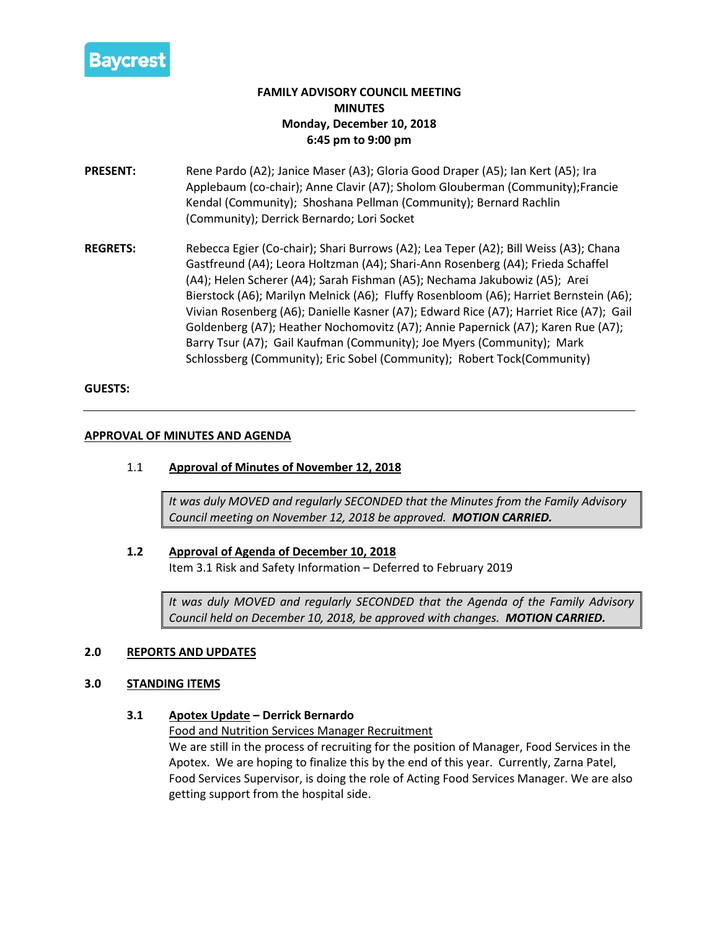

# **FAMILY ADVISORY COUNCIL MEETING MINUTES Monday, December 10, 2018 6:45 pm to 9:00 pm**

- **PRESENT:** Rene Pardo (A2); Janice Maser (A3); Gloria Good Draper (A5); Ian Kert (A5); Ira Applebaum (co-chair); Anne Clavir (A7); Sholom Glouberman (Community);Francie Kendal (Community); Shoshana Pellman (Community); Bernard Rachlin (Community); Derrick Bernardo; Lori Socket
- **REGRETS:** Rebecca Egier (Co-chair); Shari Burrows (A2); Lea Teper (A2); Bill Weiss (A3); Chana Gastfreund (A4); Leora Holtzman (A4); Shari-Ann Rosenberg (A4); Frieda Schaffel (A4); Helen Scherer (A4); Sarah Fishman (A5); Nechama Jakubowiz (A5); Arei Bierstock (A6); Marilyn Melnick (A6); Fluffy Rosenbloom (A6); Harriet Bernstein (A6); Vivian Rosenberg (A6); Danielle Kasner (A7); Edward Rice (A7); Harriet Rice (A7); Gail Goldenberg (A7); Heather Nochomovitz (A7); Annie Papernick (A7); Karen Rue (A7); Barry Tsur (A7); Gail Kaufman (Community); Joe Myers (Community); Mark Schlossberg (Community); Eric Sobel (Community); Robert Tock(Community)

#### **GUESTS:**

#### **APPROVAL OF MINUTES AND AGENDA**

### 1.1 **Approval of Minutes of November 12, 2018**

*It was duly MOVED and regularly SECONDED that the Minutes from the Family Advisory Council meeting on November 12, 2018 be approved. MOTION CARRIED.*

#### **1.2 Approval of Agenda of December 10, 2018**

Item 3.1 Risk and Safety Information – Deferred to February 2019

*It was duly MOVED and regularly SECONDED that the Agenda of the Family Advisory Council held on December 10, 2018, be approved with changes. MOTION CARRIED.*

## **2.0 REPORTS AND UPDATES**

#### **3.0 STANDING ITEMS**

## **3.1 Apotex Update – Derrick Bernardo**

Food and Nutrition Services Manager Recruitment We are still in the process of recruiting for the position of Manager, Food Services in the Apotex. We are hoping to finalize this by the end of this year. Currently, Zarna Patel, Food Services Supervisor, is doing the role of Acting Food Services Manager. We are also getting support from the hospital side.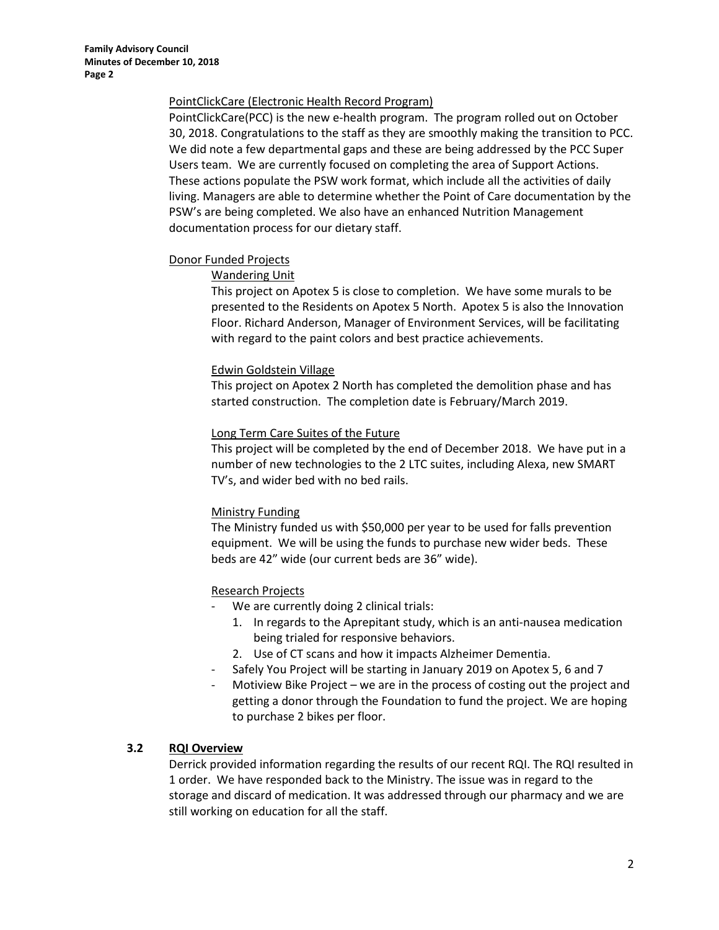## PointClickCare (Electronic Health Record Program)

PointClickCare(PCC) is the new e-health program. The program rolled out on October 30, 2018. Congratulations to the staff as they are smoothly making the transition to PCC. We did note a few departmental gaps and these are being addressed by the PCC Super Users team. We are currently focused on completing the area of Support Actions. These actions populate the PSW work format, which include all the activities of daily living. Managers are able to determine whether the Point of Care documentation by the PSW's are being completed. We also have an enhanced Nutrition Management documentation process for our dietary staff.

## Donor Funded Projects

## Wandering Unit

This project on Apotex 5 is close to completion. We have some murals to be presented to the Residents on Apotex 5 North. Apotex 5 is also the Innovation Floor. Richard Anderson, Manager of Environment Services, will be facilitating with regard to the paint colors and best practice achievements.

## Edwin Goldstein Village

This project on Apotex 2 North has completed the demolition phase and has started construction. The completion date is February/March 2019.

## Long Term Care Suites of the Future

This project will be completed by the end of December 2018. We have put in a number of new technologies to the 2 LTC suites, including Alexa, new SMART TV's, and wider bed with no bed rails.

# Ministry Funding

The Ministry funded us with \$50,000 per year to be used for falls prevention equipment. We will be using the funds to purchase new wider beds. These beds are 42" wide (our current beds are 36" wide).

# Research Projects

- We are currently doing 2 clinical trials:
	- 1. In regards to the Aprepitant study, which is an anti-nausea medication being trialed for responsive behaviors.
	- 2. Use of CT scans and how it impacts Alzheimer Dementia.
- Safely You Project will be starting in January 2019 on Apotex 5, 6 and 7
- Motiview Bike Project we are in the process of costing out the project and getting a donor through the Foundation to fund the project. We are hoping to purchase 2 bikes per floor.

## **3.2 RQI Overview**

Derrick provided information regarding the results of our recent RQI. The RQI resulted in 1 order. We have responded back to the Ministry. The issue was in regard to the storage and discard of medication. It was addressed through our pharmacy and we are still working on education for all the staff.